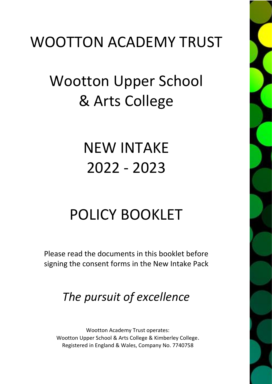# WOOTTON ACADEMY TRUST

# Wootton Upper School & Arts College

# NEW INTAKE 2022 - 2023

# POLICY BOOKLET

Please read the documents in this booklet before signing the consent forms in the New Intake Pack

# *The pursuit of excellence*

Wootton Academy Trust operates: Wootton Upper School & Arts College & Kimberley College. Registered in England & Wales, Company No. 7740758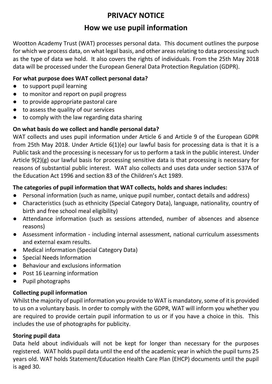# **PRIVACY NOTICE**

# **How we use pupil information**

Wootton Academy Trust (WAT) processes personal data. This document outlines the purpose for which we process data, on what legal basis, and other areas relating to data processing such as the type of data we hold. It also covers the rights of individuals. From the 25th May 2018 data will be processed under the European General Data Protection Regulation (GDPR).

## **For what purpose does WAT collect personal data?**

- to support pupil learning
- to monitor and report on pupil progress
- to provide appropriate pastoral care
- to assess the quality of our services
- to comply with the law regarding data sharing

# **On what basis do we collect and handle personal data?**

WAT collects and uses pupil information under Article 6 and Article 9 of the European GDPR from 25th May 2018. Under Article 6(1)(e) our lawful basis for processing data is that it is a Public task and the processing is necessary for us to perform a task in the public interest. Under Article 9(2)(g) our lawful basis for processing sensitive data is that processing is necessary for reasons of substantial public interest. WAT also collects and uses data under section 537A of the Education Act 1996 and section 83 of the Children's Act 1989.

# **The categories of pupil information that WAT collects, holds and shares includes:**

- Personal information (such as name, unique pupil number, contact details and address)
- Characteristics (such as ethnicity (Special Category Data), language, nationality, country of birth and free school meal eligibility)
- Attendance information (such as sessions attended, number of absences and absence reasons)
- Assessment information including internal assessment, national curriculum assessments and external exam results.
- Medical information (Special Category Data)
- Special Needs Information
- Behaviour and exclusions information
- Post 16 Learning information
- Pupil photographs

## **Collecting pupil information**

Whilst the majority of pupil information you provide to WAT is mandatory, some of it is provided to us on a voluntary basis. In order to comply with the GDPR, WAT will inform you whether you are required to provide certain pupil information to us or if you have a choice in this. This includes the use of photographs for publicity.

## **Storing pupil data**

Data held about individuals will not be kept for longer than necessary for the purposes registered. WAT holds pupil data until the end of the academic year in which the pupil turns 25 years old. WAT holds Statement/Education Health Care Plan (EHCP) documents until the pupil is aged 30.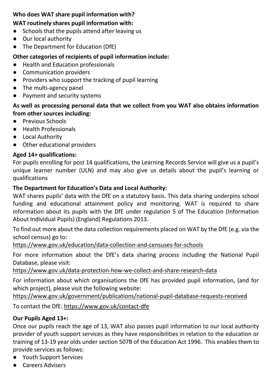# **Who does WAT share pupil information with?**

# **WAT routinely shares pupil information with:**

- Schools that the pupils attend after leaving us
- Our local authority
- The Department for Education (DfE)

# **Other categories of recipients of pupil information include:**

- Health and Education professionals
- Communication providers
- Providers who support the tracking of pupil learning
- The multi-agency panel
- Payment and security systems

# **As well as processing personal data that we collect from you WAT also obtains information from other sources including:**

- Previous Schools
- Health Professionals
- Local Authority
- Other educational providers

# **Aged 14+ qualifications:**

For pupils enrolling for post 14 qualifications, the Learning Records Service will give us a pupil's unique learner number (ULN) and may also give us details about the pupil's learning or qualifications

# **The Department for Education's Data and Local Authority:**

WAT shares pupils' data with the DfE on a statutory basis. This data sharing underpins school funding and educational attainment policy and monitoring. WAT is required to share information about its pupils with the DfE under regulation 5 of The Education (Information About Individual Pupils) (England) Regulations 2013.

To find out more about the data collection requirements placed on WAT by the DfE (e.g. via the school census) go to:

<https://www.gov.uk/education/data-collection-and-censuses-for-schools>

For more information about the DfE's data sharing process including the National Pupil Database, please visit:

<https://www.gov.uk/data-protection-how-we-collect-and-share-research-data>

For information about which organisations the DfE has provided pupil information, (and for which project), please visit the following website:

<https://www.gov.uk/government/publications/national-pupil-database-requests-received>

To contact the DfE:<https://www.gov.uk/contact-dfe>

# **Our Pupils Aged 13+:**

Once our pupils reach the age of 13, WAT also passes pupil information to our local authority provider of youth support services as they have responsibilities in relation to the education or training of 13-19 year olds under section 507B of the Education Act 1996. This enables them to provide services as follows:

- Youth Support Services
- Careers Advisers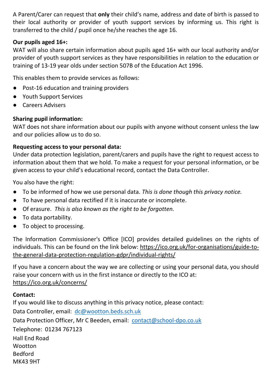A Parent/Carer can request that **only** their child's name, address and date of birth is passed to their local authority or provider of youth support services by informing us. This right is transferred to the child / pupil once he/she reaches the age 16.

## **Our pupils aged 16+:**

WAT will also share certain information about pupils aged 16+ with our local authority and/or provider of youth support services as they have responsibilities in relation to the education or training of 13-19 year olds under section 507B of the Education Act 1996.

This enables them to provide services as follows:

- Post-16 education and training providers
- Youth Support Services
- Careers Advisers

## **Sharing pupil information:**

WAT does not share information about our pupils with anyone without consent unless the law and our policies allow us to do so.

## **Requesting access to your personal data:**

Under data protection legislation, parent/carers and pupils have the right to request access to information about them that we hold. To make a request for your personal information, or be given access to your child's educational record, contact the Data Controller.

You also have the right:

- To be informed of how we use personal data. *This is done though this privacy notice.*
- To have personal data rectified if it is inaccurate or incomplete.
- Of erasure. *This is also known as the right to be forgotten.*
- To data portability.
- To object to processing.

The Information Commissioner's Office [ICO] provides detailed guidelines on the rights of individuals. This can be found on the link below: [https://ico.org.uk/for-organisations/guide-to](https://ico.org.uk/for-organisations/guide-to-the-general-data-protection-regulation-gdpr/individual-rights/)[the-general-data-protection-regulation-gdpr/individual-rights/](https://ico.org.uk/for-organisations/guide-to-the-general-data-protection-regulation-gdpr/individual-rights/)

If you have a concern about the way we are collecting or using your personal data, you should raise your concern with us in the first instance or directly to the ICO at: <https://ico.org.uk/concerns/>

## **Contact:**

If you would like to discuss anything in this privacy notice, please contact: Data Controller, email: [dc@wootton.beds.sch.uk](mailto:dc@wootton.beds.sch.uk) Data Protection Officer, Mr C Beeden, email: [contact@school-dpo.co.uk](mailto:contact@school-dpo.co.uk) Telephone: 01234 767123 Hall End Road **Wootton** Bedford MK43 9HT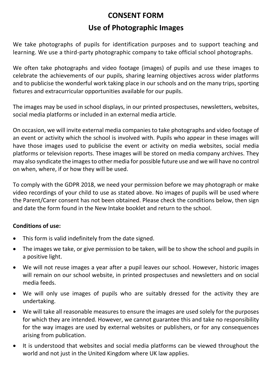# **CONSENT FORM**

# **Use of Photographic Images**

We take photographs of pupils for identification purposes and to support teaching and learning. We use a third-party photographic company to take official school photographs.

We often take photographs and video footage (images) of pupils and use these images to celebrate the achievements of our pupils, sharing learning objectives across wider platforms and to publicise the wonderful work taking place in our schools and on the many trips, sporting fixtures and extracurricular opportunities available for our pupils.

The images may be used in school displays, in our printed prospectuses, newsletters, websites, social media platforms or included in an external media article.

On occasion, we will invite external media companies to take photographs and video footage of an event or activity which the school is involved with. Pupils who appear in these images will have those images used to publicise the event or activity on media websites, social media platforms or television reports. These images will be stored on media company archives. They may also syndicate the images to other media for possible future use and we will have no control on when, where, if or how they will be used.

To comply with the GDPR 2018, we need your permission before we may photograph or make video recordings of your child to use as stated above. No images of pupils will be used where the Parent/Carer consent has not been obtained. Please check the conditions below, then sign and date the form found in the New Intake booklet and return to the school.

## **Conditions of use:**

- This form is valid indefinitely from the date signed.
- The images we take, or give permission to be taken, will be to show the school and pupils in a positive light.
- We will not reuse images a year after a pupil leaves our school. However, historic images will remain on our school website, in printed prospectuses and newsletters and on social media feeds.
- We will only use images of pupils who are suitably dressed for the activity they are undertaking.
- We will take all reasonable measures to ensure the images are used solely for the purposes for which they are intended. However, we cannot guarantee this and take no responsibility for the way images are used by external websites or publishers, or for any consequences arising from publication.
- It is understood that websites and social media platforms can be viewed throughout the world and not just in the United Kingdom where UK law applies.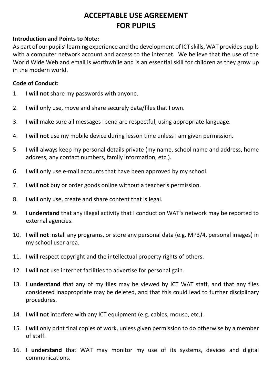# **ACCEPTABLE USE AGREEMENT FOR PUPILS**

#### **Introduction and Points to Note:**

As part of our pupils' learning experience and the development of ICT skills, WAT provides pupils with a computer network account and access to the internet. We believe that the use of the World Wide Web and email is worthwhile and is an essential skill for children as they grow up in the modern world.

### **Code of Conduct:**

- 1. I **will not** share my passwords with anyone.
- 2. I **will** only use, move and share securely data/files that I own.
- 3. I **will** make sure all messages I send are respectful, using appropriate language.
- 4. I **will not** use my mobile device during lesson time unless I am given permission.
- 5. I **will** always keep my personal details private (my name, school name and address, home address, any contact numbers, family information, etc.).
- 6. I **will** only use e-mail accounts that have been approved by my school.
- 7. I **will not** buy or order goods online without a teacher's permission.
- 8. I **will** only use, create and share content that is legal.
- 9. I **understand** that any illegal activity that I conduct on WAT's network may be reported to external agencies.
- 10. I **will not** install any programs, or store any personal data (e.g. MP3/4, personal images) in my school user area.
- 11. I **will** respect copyright and the intellectual property rights of others.
- 12. I **will not** use internet facilities to advertise for personal gain.
- 13. I **understand** that any of my files may be viewed by ICT WAT staff, and that any files considered inappropriate may be deleted, and that this could lead to further disciplinary procedures.
- 14. I **will not** interfere with any ICT equipment (e.g. cables, mouse, etc.).
- 15. I **will** only print final copies of work, unless given permission to do otherwise by a member of staff.
- 16. I **understand** that WAT may monitor my use of its systems, devices and digital communications.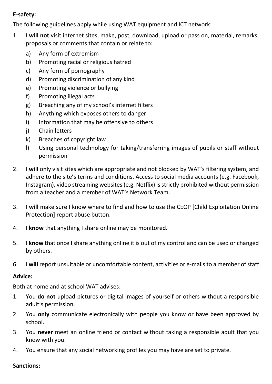# **E-safety:**

The following guidelines apply while using WAT equipment and ICT network:

- 1. I **will not** visit internet sites, make, post, download, upload or pass on, material, remarks, proposals or comments that contain or relate to:
	- a) Any form of extremism
	- b) Promoting racial or religious hatred
	- c) Any form of pornography
	- d) Promoting discrimination of any kind
	- e) Promoting violence or bullying
	- f) Promoting illegal acts
	- g) Breaching any of my school's internet filters
	- h) Anything which exposes others to danger
	- i) Information that may be offensive to others
	- j) Chain letters
	- k) Breaches of copyright law
	- l) Using personal technology for taking/transferring images of pupils or staff without permission
- 2. I **will** only visit sites which are appropriate and not blocked by WAT's filtering system, and adhere to the site's terms and conditions. Access to social media accounts (e.g. Facebook, Instagram), video streaming websites (e.g. Netflix) is strictly prohibited without permission from a teacher and a member of WAT's Network Team.
- 3. I **will** make sure I know where to find and how to use the CEOP [Child Exploitation Online Protection] report abuse button.
- 4. I **know** that anything I share online may be monitored.
- 5. I **know** that once I share anything online it is out of my control and can be used or changed by others.
- 6. I **will** report unsuitable or uncomfortable content, activities or e-mails to a member of staff

# **Advice:**

Both at home and at school WAT advises:

- 1. You **do not** upload pictures or digital images of yourself or others without a responsible adult's permission.
- 2. You **only** communicate electronically with people you know or have been approved by school.
- 3. You **never** meet an online friend or contact without taking a responsible adult that you know with you.
- 4. You ensure that any social networking profiles you may have are set to private.

# **Sanctions:**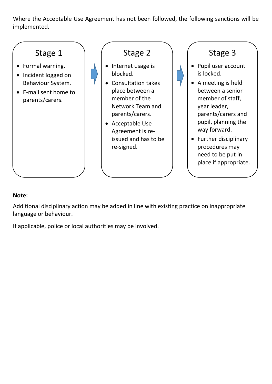Where the Acceptable Use Agreement has not been followed, the following sanctions will be implemented.



## **Note:**

Additional disciplinary action may be added in line with existing practice on inappropriate language or behaviour.

If applicable, police or local authorities may be involved.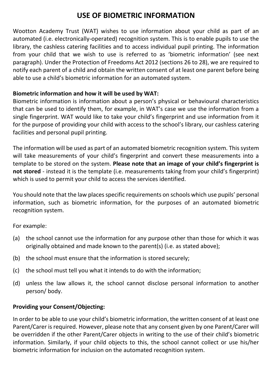# **USE OF BIOMETRIC INFORMATION**

Wootton Academy Trust (WAT) wishes to use information about your child as part of an automated (i.e. electronically-operated) recognition system. This is to enable pupils to use the library, the cashless catering facilities and to access individual pupil printing. The information from your child that we wish to use is referred to as 'biometric information' (see next paragraph). Under the Protection of Freedoms Act 2012 (sections 26 to 28), we are required to notify each parent of a child and obtain the written consent of at least one parent before being able to use a child's biometric information for an automated system.

#### **Biometric information and how it will be used by WAT:**

Biometric information is information about a person's physical or behavioural characteristics that can be used to identify them, for example, in WAT's case we use the information from a single fingerprint. WAT would like to take your child's fingerprint and use information from it for the purpose of providing your child with access to the school's library, our cashless catering facilities and personal pupil printing.

The information will be used as part of an automated biometric recognition system. This system will take measurements of your child's fingerprint and convert these measurements into a template to be stored on the system. **Please note that an image of your child's fingerprint is not stored** - instead it is the template (i.e. measurements taking from your child's fingerprint) which is used to permit your child to access the services identified.

You should note that the law places specific requirements on schools which use pupils' personal information, such as biometric information, for the purposes of an automated biometric recognition system.

For example:

- (a) the school cannot use the information for any purpose other than those for which it was originally obtained and made known to the parent(s) (i.e. as stated above);
- (b) the school must ensure that the information is stored securely;
- (c) the school must tell you what it intends to do with the information;
- (d) unless the law allows it, the school cannot disclose personal information to another person/ body.

#### **Providing your Consent/Objecting:**

In order to be able to use your child's biometric information, the written consent of at least one Parent/Carer is required. However, please note that any consent given by one Parent/Carer will be overridden if the other Parent/Carer objects in writing to the use of their child's biometric information. Similarly, if your child objects to this, the school cannot collect or use his/her biometric information for inclusion on the automated recognition system.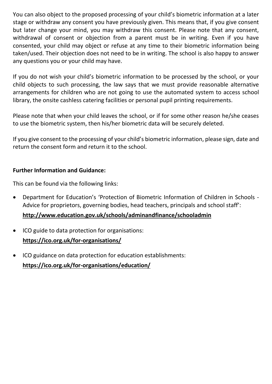You can also object to the proposed processing of your child's biometric information at a later stage or withdraw any consent you have previously given. This means that, if you give consent but later change your mind, you may withdraw this consent. Please note that any consent, withdrawal of consent or objection from a parent must be in writing. Even if you have consented, your child may object or refuse at any time to their biometric information being taken/used. Their objection does not need to be in writing. The school is also happy to answer any questions you or your child may have.

If you do not wish your child's biometric information to be processed by the school, or your child objects to such processing, the law says that we must provide reasonable alternative arrangements for children who are not going to use the automated system to access school library, the onsite cashless catering facilities or personal pupil printing requirements.

Please note that when your child leaves the school, or if for some other reason he/she ceases to use the biometric system, then his/her biometric data will be securely deleted.

If you give consent to the processing of your child's biometric information, please sign, date and return the consent form and return it to the school.

#### **Further Information and Guidance:**

This can be found via the following links:

• Department for Education's 'Protection of Biometric Information of Children in Schools - Advice for proprietors, governing bodies, head teachers, principals and school staff':

## **<http://www.education.gov.uk/schools/adminandfinance/schooladmin>**

- ICO guide to data protection for organisations: **<https://ico.org.uk/for-organisations/>**
- ICO guidance on data protection for education establishments: **<https://ico.org.uk/for-organisations/education/>**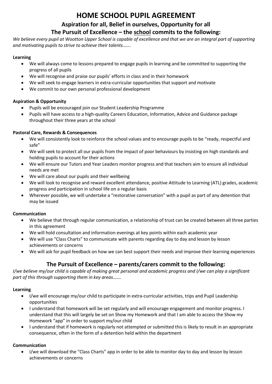# **HOME SCHOOL PUPIL AGREEMENT**

# **Aspiration for all, Belief in ourselves, Opportunity for all The Pursuit of Excellence – the school commits to the following:**

We believe every pupil at Wootton Upper School is capable of excellence and that we are an integral part of supporting *and motivating pupils to strive to achieve their talents…….*

#### **Learning**

- We will always come to lessons prepared to engage pupils in learning and be committed to supporting the progress of all pupils
- We will recognise and praise our pupils' efforts in class and in their homework
- We will seek to engage learners in extra-curricular opportunities that support and motivate
- We commit to our own personal professional development

#### **Aspiration & Opportunity**

- Pupils will be encouraged join our Student Leadership Programme
- Pupils will have access to a high-quality Careers Education, Information, Advice and Guidance package throughout their three years at the school

#### **Pastoral Care, Rewards & Consequences**

- We will consistently look to reinforce the school values and to encourage pupils to be "ready, respectful and safe"
- We will seek to protect all our pupils from the impact of poor behaviours by insisting on high standards and holding pupils to account for their actions
- We will ensure our Tutors and Year Leaders monitor progress and that teachers aim to ensure all individual needs are met
- We will care about our pupils and their wellbeing
- We will look to recognise and reward excellent attendance, positive Attitude to Learning (ATL) grades, academic progress and participation in school life on a regular basis
- Wherever possible, we will undertake a "restorative conversation" with a pupil as part of any detention that may be issued

#### **Communication**

- We believe that through regular communication, a relationship of trust can be created between all three parties in this agreement
- We will hold consultation and information evenings at key points within each academic year
- We will use "Class Charts" to communicate with parents regarding day to day and lesson by lesson achievements or concerns
- We will ask for pupil feedback on how we can best support their needs and improve their learning experiences

#### **The Pursuit of Excellence – parents/carers commit to the following:**

*I/we believe my/our child is capable of making great personal and academic progress and I/we can play a significant part of this through supporting them in key areas…….*

#### **Learning**

- I/we will encourage my/our child to participate in extra-curricular activities, trips and Pupil Leadership opportunities
- I understand that homework will be set regularly and will encourage engagement and monitor progress. I understand that this will largely be set on Show my Homework and that I am able to access the Show my Homework "app" in order to support my/our child
- I understand that if homework is regularly not attempted or submitted this is likely to result in an appropriate consequence, often in the form of a detention held within the department

#### **Communication**

• I/we will download the "Class Charts" app in order to be able to monitor day to day and lesson by lesson achievements or concerns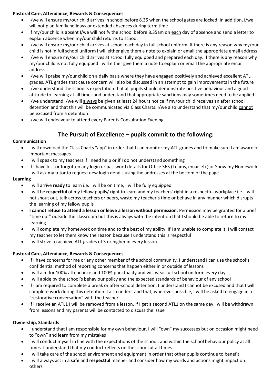#### **Pastoral Care, Attendance, Rewards & Consequences**

- I/we will ensure my/our child arrives in school before 8.35 when the school gates are locked. In addition, I/we will not plan family holidays or extended absences during term time
- If my/our child is absent I/we will notify the school before 8.35am on each day of absence and send a letter to explain absence when my/our child returns to school
- I/we will ensure my/our child arrives at school each day in full school uniform. If there is any reason why my/our child is not in full school uniform I will either give them a note to explain or email the appropriate email address
- I/we will ensure my/our child arrives at school fully equipped and prepared each day. If there is any reason why my/our child is not fully equipped I will either give them a note to explain or email the appropriate email address
- I/we will praise my/our child on a daily basis where they have engaged positively and achieved excellent ATL grades. ATL grades that cause concern will also be discussed in an attempt to gain improvements in the future
- I/we understand the school's expectation that all pupils should demonstrate positive behaviour and a good attitude to learning at all times and understand that appropriate sanctions may sometimes need to be applied
- I/we understand I/we will always be given at least 24 hours notice if my/our child receives an after school detention and that this will be communicated via Class Charts. I/we also understand that my/our child cannot be excused from a detention
- I/we will endeavour to attend every Parents Consultation Evening

## **The Pursuit of Excellence – pupils commit to the following:**

#### **Communication**

- I will download the Class Charts "app" in order that I can monitor my ATL grades and to make sure I am aware of important messages
- I will speak to my teachers if I need help or if I do not understand something
- If I have lost or forgotten any login or password details for Office 365 (Teams, email etc) or Show my Homework I will ask my tutor to request new login details using the addresses at the bottom of the page

#### **Learning**

- I will arrive **ready** to learn i.e. I will be on time, I will be fully equipped
- I will be **respectful** of my fellow pupils/ right to learn and my teachers' right in a respectful workplace i.e. I will not shout out, talk across teachers or peers, waste my teacher's time or behave in any manner which disrupts the learning of my fellow pupils
- **I cannot refuse to attend a lesson or leave a lesson without permission**. Permission may be granted for a brief "time out" outside the classroom but this is always with the intention that I should be able to return to my learning
- I will complete my homework on time and to the best of my ability. If I am unable to complete it, I will contact my teacher to let them know the reason because I understand this is respectful
- I will strive to achieve ATL grades of 3 or higher in every lesson

#### **Pastoral Care, Attendance, Rewards & Consequences**

- If I have concerns for me or any other member of the school community, I understand I can use the school's confidential method of reporting concerns that happen either in or outside of lessons
- I will aim for 100% attendance and 100% punctuality and will wear full school uniform every day
- I will abide by the school's behaviour policy and the expected standards of behaviour of any school
- If I am required to complete a break or after-school detention, I understand I cannot be excused and that I will complete work during this detention. I also understand that, wherever possible, I will be asked to engage in a "restorative conversation" with the teacher
- If I receive an ATL1 I will be removed from a lesson. If I get a second ATL1 on the same day I will be withdrawn from lessons and my parents will be contacted to discuss the issue

#### **Ownership, Standards**

- I understand that I am responsible for my own behaviour. I will "own" my successes but on occasion might need to "own" and learn from my mistakes
- I will conduct myself in line with the expectations of the school, and within the school behaviour policy at all times. I understand that my conduct reflects on the school at all times
- I will take care of the school environment and equipment in order that other pupils continue to benefit
- I will always act in a **safe** and **respectful** manner and consider how my words and actions might impact on others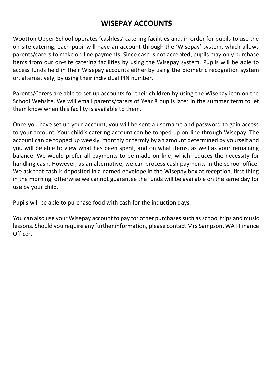# **WISEPAY ACCOUNTS**

Wootton Upper School operates 'cashless' catering facilities and, in order for pupils to use the on-site catering, each pupil will have an account through the 'Wisepay' system, which allows parents/carers to make on-line payments. Since cash is not accepted, pupils may only purchase items from our on-site catering facilities by using the Wisepay system. Pupils will be able to access funds held in their Wisepay accounts either by using the biometric recognition system or, alternatively, by using their individual PIN number.

Parents/Carers are able to set up accounts for their children by using the Wisepay icon on the School Website. We will email parents/carers of Year 8 pupils later in the summer term to let them know when this facility is available to them.

Once you have set up your account, you will be sent a username and password to gain access to your account. Your child's catering account can be topped up on-line through Wisepay. The account can be topped up weekly, monthly or termly by an amount determined by yourself and you will be able to view what has been spent, and on what items, as well as your remaining balance. We would prefer all payments to be made on-line, which reduces the necessity for handling cash. However, as an alternative, we can process cash payments in the school office. We ask that cash is deposited in a named envelope in the Wisepay box at reception, first thing in the morning, otherwise we cannot guarantee the funds will be available on the same day for use by your child.

Pupils will be able to purchase food with cash for the induction days.

You can also use your Wisepay account to pay for other purchases such as school trips and music lessons. Should you require any further information, please contact Mrs Sampson, WAT Finance Officer.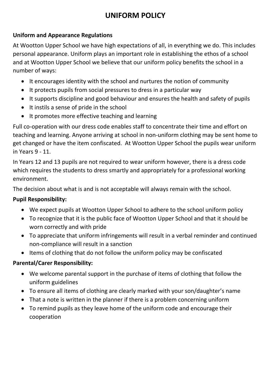# **UNIFORM POLICY**

# **Uniform and Appearance Regulations**

At Wootton Upper School we have high expectations of all, in everything we do. This includes personal appearance. Uniform plays an important role in establishing the ethos of a school and at Wootton Upper School we believe that our uniform policy benefits the school in a number of ways:

- It encourages identity with the school and nurtures the notion of community
- It protects pupils from social pressures to dress in a particular way
- It supports discipline and good behaviour and ensures the health and safety of pupils
- It instils a sense of pride in the school
- It promotes more effective teaching and learning

Full co-operation with our dress code enables staff to concentrate their time and effort on teaching and learning. Anyone arriving at school in non-uniform clothing may be sent home to get changed or have the item confiscated. At Wootton Upper School the pupils wear uniform in Years 9 - 11.

In Years 12 and 13 pupils are not required to wear uniform however, there is a dress code which requires the students to dress smartly and appropriately for a professional working environment.

The decision about what is and is not acceptable will always remain with the school.

# **Pupil Responsibility:**

- We expect pupils at Wootton Upper School to adhere to the school uniform policy
- To recognize that it is the public face of Wootton Upper School and that it should be worn correctly and with pride
- To appreciate that uniform infringements will result in a verbal reminder and continued non-compliance will result in a sanction
- Items of clothing that do not follow the uniform policy may be confiscated

# **Parental/Carer Responsibility:**

- We welcome parental support in the purchase of items of clothing that follow the uniform guidelines
- To ensure all items of clothing are clearly marked with your son/daughter's name
- That a note is written in the planner if there is a problem concerning uniform
- To remind pupils as they leave home of the uniform code and encourage their cooperation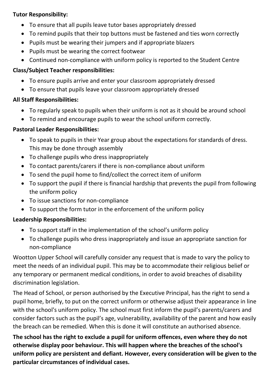## **Tutor Responsibility:**

- To ensure that all pupils leave tutor bases appropriately dressed
- To remind pupils that their top buttons must be fastened and ties worn correctly
- Pupils must be wearing their jumpers and if appropriate blazers
- Pupils must be wearing the correct footwear
- Continued non-compliance with uniform policy is reported to the Student Centre

# **Class/Subject Teacher responsibilities:**

- To ensure pupils arrive and enter your classroom appropriately dressed
- To ensure that pupils leave your classroom appropriately dressed

# **All Staff Responsibilities:**

- To regularly speak to pupils when their uniform is not as it should be around school
- To remind and encourage pupils to wear the school uniform correctly.

# **Pastoral Leader Responsibilities:**

- To speak to pupils in their Year group about the expectations for standards of dress. This may be done through assembly
- To challenge pupils who dress inappropriately
- To contact parents/carers if there is non-compliance about uniform
- To send the pupil home to find/collect the correct item of uniform
- To support the pupil if there is financial hardship that prevents the pupil from following the uniform policy
- To issue sanctions for non-compliance
- To support the form tutor in the enforcement of the uniform policy

# **Leadership Responsibilities:**

- To support staff in the implementation of the school's uniform policy
- To challenge pupils who dress inappropriately and issue an appropriate sanction for non-compliance

Wootton Upper School will carefully consider any request that is made to vary the policy to meet the needs of an individual pupil. This may be to accommodate their religious belief or any temporary or permanent medical conditions, in order to avoid breaches of disability discrimination legislation.

The Head of School, or person authorised by the Executive Principal, has the right to send a pupil home, briefly, to put on the correct uniform or otherwise adjust their appearance in line with the school's uniform policy. The school must first inform the pupil's parents/carers and consider factors such as the pupil's age, vulnerability, availability of the parent and how easily the breach can be remedied. When this is done it will constitute an authorised absence.

**The school has the right to exclude a pupil for uniform offences, even where they do not otherwise display poor behaviour. This will happen where the breaches of the school's uniform policy are persistent and defiant. However, every consideration will be given to the particular circumstances of individual cases.**